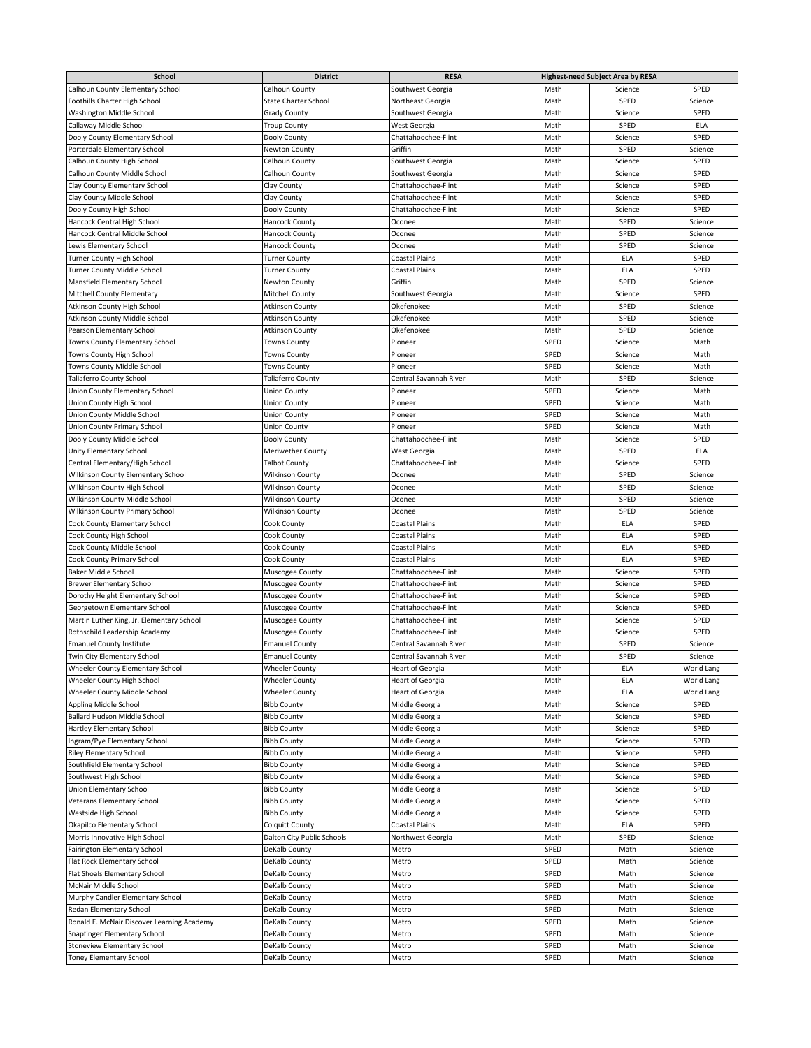| <b>School</b>                              | <b>District</b>             | <b>RESA</b>             | <b>Highest-need Subject Area by RESA</b> |             |             |
|--------------------------------------------|-----------------------------|-------------------------|------------------------------------------|-------------|-------------|
| <b>Calhoun County Elementary School</b>    | <b>Calhoun County</b>       | Southwest Georgia       | Math                                     | Science     | SPED        |
| Foothills Charter High School              | <b>State Charter School</b> | Northeast Georgia       | Math                                     | <b>SPED</b> | Science     |
| <b>Washington Middle School</b>            | <b>Grady County</b>         | Southwest Georgia       | Math                                     | Science     | SPED        |
| Callaway Middle School                     | <b>Troup County</b>         | West Georgia            | Math                                     | <b>SPED</b> | <b>ELA</b>  |
| Dooly County Elementary School             | Dooly County                | Chattahoochee-Flint     | Math                                     | Science     | SPED        |
| Porterdale Elementary School               | Newton County               | Griffin                 | Math                                     | <b>SPED</b> | Science     |
| Calhoun County High School                 | Calhoun County              | Southwest Georgia       | Math                                     | Science     | SPED        |
| Calhoun County Middle School               | Calhoun County              | Southwest Georgia       | Math                                     | Science     | SPED        |
| Clay County Elementary School              | Clay County                 | Chattahoochee-Flint     | Math                                     | Science     | SPED        |
| Clay County Middle School                  | Clay County                 | Chattahoochee-Flint     | Math                                     | Science     | SPED        |
| Dooly County High School                   | Dooly County                | Chattahoochee-Flint     | Math                                     | Science     | SPED        |
| Hancock Central High School                | <b>Hancock County</b>       | Oconee                  | Math                                     | SPED        | Science     |
| Hancock Central Middle School              | <b>Hancock County</b>       | Oconee                  | Math                                     | SPED        | Science     |
| Lewis Elementary School                    | <b>Hancock County</b>       | Oconee                  | Math                                     | <b>SPED</b> | Science     |
| <b>Turner County High School</b>           | <b>Turner County</b>        | <b>Coastal Plains</b>   | Math                                     | <b>ELA</b>  | <b>SPED</b> |
| <b>Turner County Middle School</b>         | <b>Turner County</b>        | <b>Coastal Plains</b>   | Math                                     | <b>ELA</b>  | <b>SPED</b> |
| Mansfield Elementary School                | Newton County               | Griffin                 | Math                                     | SPED        | Science     |
| <b>Mitchell County Elementary</b>          | <b>Mitchell County</b>      | Southwest Georgia       | Math                                     | Science     | <b>SPED</b> |
| Atkinson County High School                | <b>Atkinson County</b>      | Okefenokee              | Math                                     | <b>SPED</b> | Science     |
| Atkinson County Middle School              | <b>Atkinson County</b>      | Okefenokee              | Math                                     | <b>SPED</b> | Science     |
| Pearson Elementary School                  | <b>Atkinson County</b>      | Okefenokee              | Math                                     | SPED        | Science     |
| <b>Towns County Elementary School</b>      | <b>Towns County</b>         | Pioneer                 | SPED                                     | Science     | Math        |
| Towns County High School                   | <b>Towns County</b>         | Pioneer                 | <b>SPED</b>                              | Science     | Math        |
| Towns County Middle School                 | <b>Towns County</b>         | Pioneer                 | <b>SPED</b>                              | Science     | Math        |
| <b>Taliaferro County School</b>            | <b>Taliaferro County</b>    | Central Savannah River  | Math                                     | <b>SPED</b> | Science     |
| Union County Elementary School             | <b>Union County</b>         | Pioneer                 | SPED                                     | Science     | Math        |
| Union County High School                   | <b>Union County</b>         | Pioneer                 | <b>SPED</b>                              | Science     | Math        |
| Union County Middle School                 |                             |                         |                                          |             |             |
|                                            | <b>Union County</b>         | Pioneer                 | SPED                                     | Science     | Math        |
| <b>Union County Primary School</b>         | <b>Union County</b>         | Pioneer                 | SPED                                     | Science     | Math        |
| Dooly County Middle School                 | Dooly County                | Chattahoochee-Flint     | Math                                     | Science     | <b>SPED</b> |
| <b>Unity Elementary School</b>             | <b>Meriwether County</b>    | West Georgia            | Math                                     | <b>SPED</b> | <b>ELA</b>  |
| Central Elementary/High School             | Talbot County               | Chattahoochee-Flint     | Math                                     | Science     | <b>SPED</b> |
| <b>Wilkinson County Elementary School</b>  | <b>Wilkinson County</b>     | Oconee                  | Math                                     | <b>SPED</b> | Science     |
| Wilkinson County High School               | <b>Wilkinson County</b>     | Oconee                  | Math                                     | SPED        | Science     |
| Wilkinson County Middle School             | <b>Wilkinson County</b>     | Oconee                  | Math                                     | <b>SPED</b> | Science     |
| <b>Wilkinson County Primary School</b>     | <b>Wilkinson County</b>     | Oconee                  | Math                                     | SPED        | Science     |
| <b>Cook County Elementary School</b>       | Cook County                 | Coastal Plains          | Math                                     | <b>ELA</b>  | <b>SPED</b> |
| Cook County High School                    | Cook County                 | <b>Coastal Plains</b>   | Math                                     | <b>ELA</b>  | SPED        |
| Cook County Middle School                  | Cook County                 | Coastal Plains          | Math                                     | <b>ELA</b>  | SPED        |
| Cook County Primary School                 | Cook County                 | Coastal Plains          | Math                                     | <b>ELA</b>  | SPED        |
| <b>Baker Middle School</b>                 | Muscogee County             | Chattahoochee-Flint     | Math                                     | Science     | SPED        |
| <b>Brewer Elementary School</b>            | Muscogee County             | Chattahoochee-Flint     | Math                                     | Science     | <b>SPED</b> |
| Dorothy Height Elementary School           | Muscogee County             | Chattahoochee-Flint     | Math                                     | Science     | SPED        |
| Georgetown Elementary School               | Muscogee County             | Chattahoochee-Flint     | Math                                     | Science     | SPED        |
| Martin Luther King, Jr. Elementary School  | Muscogee County             | Chattahoochee-Flint     | Math                                     | Science     | SPED        |
| Rothschild Leadership Academy              | Muscogee County             | Chattahoochee-Flint     | Math                                     | Science     | SPED        |
| <b>Emanuel County Institute</b>            | <b>Emanuel County</b>       | Central Savannah River  | Math                                     | SPED        | Science     |
| <b>Twin City Elementary School</b>         | <b>Emanuel County</b>       | Central Savannah River  | Math                                     | <b>SPED</b> | Science     |
| Wheeler County Elementary School           | <b>Wheeler County</b>       | Heart of Georgia        | Math                                     | <b>ELA</b>  | World Lang  |
| Wheeler County High School                 | <b>Wheeler County</b>       | Heart of Georgia        | Math                                     | <b>ELA</b>  | World Lang  |
| Wheeler County Middle School               | <b>Wheeler County</b>       | <b>Heart of Georgia</b> | Math                                     | <b>ELA</b>  | World Lang  |
| Appling Middle School                      | <b>Bibb County</b>          | Middle Georgia          | Math                                     | Science     | SPED        |
| <b>Ballard Hudson Middle School</b>        | <b>Bibb County</b>          | Middle Georgia          | Math                                     | Science     | SPED        |
| <b>Hartley Elementary School</b>           | <b>Bibb County</b>          | Middle Georgia          | Math                                     | Science     | <b>SPED</b> |
| Ingram/Pye Elementary School               | <b>Bibb County</b>          | Middle Georgia          | Math                                     | Science     | SPED        |
| <b>Riley Elementary School</b>             | <b>Bibb County</b>          | Middle Georgia          | Math                                     | Science     | <b>SPED</b> |
| Southfield Elementary School               | <b>Bibb County</b>          | Middle Georgia          | Math                                     | Science     | SPED        |
| Southwest High School                      | <b>Bibb County</b>          | Middle Georgia          | Math                                     | Science     | <b>SPED</b> |
| <b>Union Elementary School</b>             | <b>Bibb County</b>          | Middle Georgia          | Math                                     | Science     | <b>SPED</b> |
| <b>Veterans Elementary School</b>          | <b>Bibb County</b>          | Middle Georgia          | Math                                     | Science     | <b>SPED</b> |
| Westside High School                       | <b>Bibb County</b>          | Middle Georgia          | Math                                     | Science     | SPED        |
| Okapilco Elementary School                 | <b>Colquitt County</b>      | <b>Coastal Plains</b>   | Math                                     | <b>ELA</b>  | SPED        |
| Morris Innovative High School              | Dalton City Public Schools  | Northwest Georgia       | Math                                     | <b>SPED</b> | Science     |
| <b>Fairington Elementary School</b>        | DeKalb County               | Metro                   | SPED                                     | Math        | Science     |
| Flat Rock Elementary School                | DeKalb County               | Metro                   | <b>SPED</b>                              | Math        | Science     |
| Flat Shoals Elementary School              | DeKalb County               | Metro                   | <b>SPED</b>                              | Math        | Science     |
| McNair Middle School                       | DeKalb County               | Metro                   | <b>SPED</b>                              | Math        | Science     |
| Murphy Candler Elementary School           | DeKalb County               | Metro                   | SPED                                     | Math        | Science     |
| <b>Redan Elementary School</b>             | DeKalb County               | Metro                   | <b>SPED</b>                              | Math        | Science     |
| Ronald E. McNair Discover Learning Academy | DeKalb County               | Metro                   | SPED                                     | Math        | Science     |
| Snapfinger Elementary School               | DeKalb County               | Metro                   | <b>SPED</b>                              | Math        | Science     |
| <b>Stoneview Elementary School</b>         | DeKalb County               | Metro                   | SPED                                     | Math        | Science     |
| <b>Toney Elementary School</b>             | DeKalb County               | Metro                   | SPED                                     | Math        | Science     |
|                                            |                             |                         |                                          |             |             |